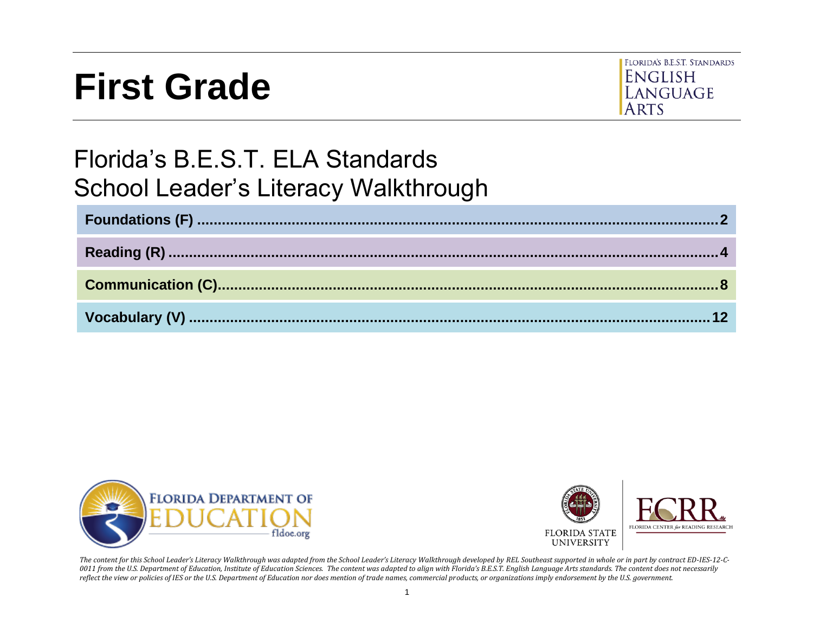# **First Grade**



# Florida's B.E.S.T. ELA Standards School Leader's Literacy Walkthrough





*The content for this School Leader's Literacy Walkthrough was adapted from the School Leader's Literacy Walkthrough developed by REL Southeast supported in whole or in part by contract ED-IES-12-C-0011 from the U.S. Department of Education, Institute of Education Sciences. The content was adapted to align with Florida's B.E.S.T. English Language Arts standards. The content does not necessarily reflect the view or policies of IES or the U.S. Department of Education nor does mention of trade names, commercial products, or organizations imply endorsement by the U.S. government.*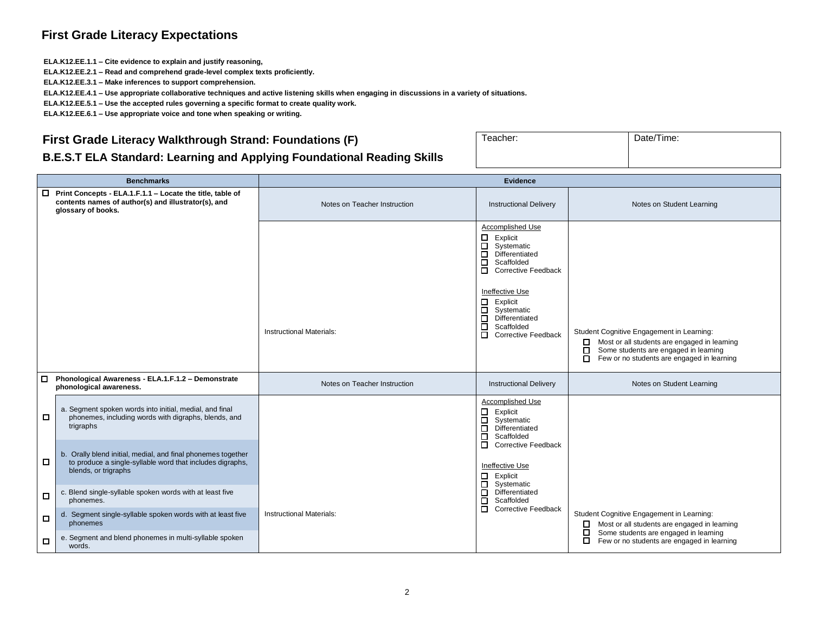#### **First Grade Literacy Expectations**

**ELA.K12.EE.1.1 – Cite evidence to explain and justify reasoning,**

**ELA.K12.EE.2.1 – Read and comprehend grade-level complex texts proficiently.**

**ELA.K12.EE.3.1 – Make inferences to support comprehension.**

**ELA.K12.EE.4.1 – Use appropriate collaborative techniques and active listening skills when engaging in discussions in a variety of situations.**

**ELA.K12.EE.5.1 – Use the accepted rules governing a specific format to create quality work.**

**ELA.K12.EE.6.1 – Use appropriate voice and tone when speaking or writing.**

#### <span id="page-1-0"></span>**First Grade Literacy Walkthrough Strand: Foundations (F)**

| Teacher: | Date/Time: |
|----------|------------|
|          |            |

#### **B.E.S.T ELA Standard: Learning and Applying Foundational Reading Skills**

|        | <b>Benchmarks</b>                                                                                                                                 | <b>Evidence</b>                 |                                                                                                                                                                                                                                                                                 |                                                                                                                                                                                                 |
|--------|---------------------------------------------------------------------------------------------------------------------------------------------------|---------------------------------|---------------------------------------------------------------------------------------------------------------------------------------------------------------------------------------------------------------------------------------------------------------------------------|-------------------------------------------------------------------------------------------------------------------------------------------------------------------------------------------------|
| □      | Print Concepts - ELA.1.F.1.1 - Locate the title, table of<br>contents names of author(s) and illustrator(s), and<br>glossary of books.            | Notes on Teacher Instruction    | <b>Instructional Delivery</b>                                                                                                                                                                                                                                                   | Notes on Student Learning                                                                                                                                                                       |
|        |                                                                                                                                                   | <b>Instructional Materials:</b> | Accomplished Use<br>□<br>Explicit<br>$\Box$<br>Systematic<br>□<br>Differentiated<br>□<br>Scaffolded<br>п<br><b>Corrective Feedback</b><br>Ineffective Use<br>□<br>Explicit<br>□<br>Systematic<br>□<br>Differentiated<br>ō<br>Scaffolded<br>$\Box$<br><b>Corrective Feedback</b> | Student Cognitive Engagement in Learning:<br>Most or all students are engaged in learning<br>□<br>Some students are engaged in learning<br>□<br>п<br>Few or no students are engaged in learning |
| $\Box$ | Phonological Awareness - ELA.1.F.1.2 - Demonstrate<br>phonological awareness.                                                                     | Notes on Teacher Instruction    | <b>Instructional Delivery</b>                                                                                                                                                                                                                                                   | Notes on Student Learning                                                                                                                                                                       |
| □      | a. Segment spoken words into initial, medial, and final<br>phonemes, including words with digraphs, blends, and<br>trigraphs                      |                                 | Accomplished Use<br>□<br>Explicit<br>$\Box$<br>Systematic<br>$\Box$<br>Differentiated<br>□<br>Scaffolded                                                                                                                                                                        |                                                                                                                                                                                                 |
| 0      | b. Orally blend initial, medial, and final phonemes together<br>to produce a single-syllable word that includes digraphs,<br>blends, or trigraphs |                                 | о<br>Corrective Feedback<br>Ineffective Use<br>Β<br>Explicit<br>Systematic                                                                                                                                                                                                      |                                                                                                                                                                                                 |
| □      | c. Blend single-syllable spoken words with at least five<br>phonemes.                                                                             |                                 | □<br>Differentiated<br>О<br>Scaffolded<br>$\Box$                                                                                                                                                                                                                                |                                                                                                                                                                                                 |
| $\Box$ | d. Segment single-syllable spoken words with at least five<br>phonemes                                                                            | <b>Instructional Materials:</b> | <b>Corrective Feedback</b>                                                                                                                                                                                                                                                      | Student Cognitive Engagement in Learning:<br>Most or all students are engaged in learning<br>□                                                                                                  |
| □      | e. Segment and blend phonemes in multi-syllable spoken<br>words.                                                                                  |                                 |                                                                                                                                                                                                                                                                                 | Some students are engaged in learning<br>0<br>□<br>Few or no students are engaged in learning                                                                                                   |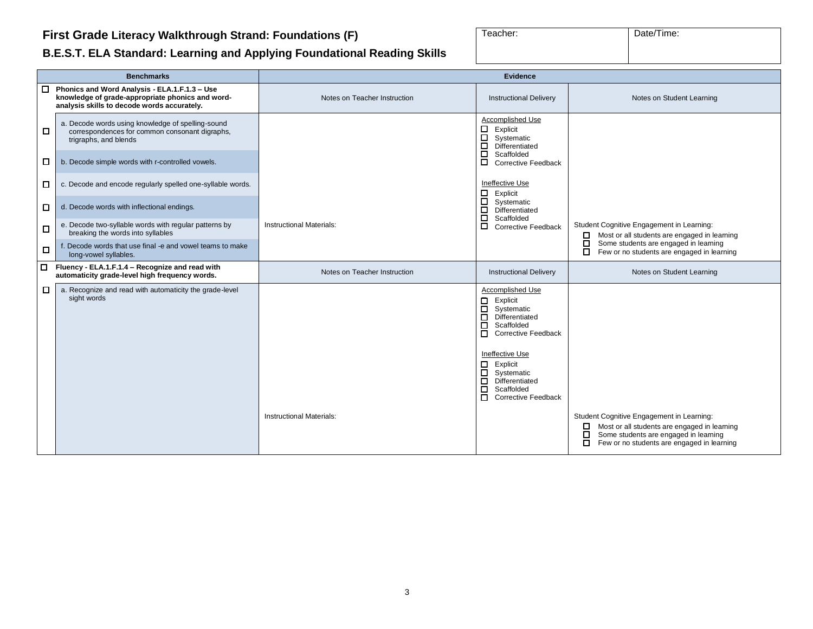#### **First Grade Literacy Walkthrough Strand: Foundations (F)**

| Teacher: | Date/Time: |
|----------|------------|
|          |            |

#### **B.E.S.T. ELA Standard: Learning and Applying Foundational Reading Skills**

|        | <b>Benchmarks</b>                                                                                                                                  | <b>Evidence</b>                 |                                                                                                                                                                                                                                                                                                     |                                                                                                                                                                                                           |
|--------|----------------------------------------------------------------------------------------------------------------------------------------------------|---------------------------------|-----------------------------------------------------------------------------------------------------------------------------------------------------------------------------------------------------------------------------------------------------------------------------------------------------|-----------------------------------------------------------------------------------------------------------------------------------------------------------------------------------------------------------|
|        | □ Phonics and Word Analysis - ELA.1.F.1.3 - Use<br>knowledge of grade-appropriate phonics and word-<br>analysis skills to decode words accurately. | Notes on Teacher Instruction    | <b>Instructional Delivery</b>                                                                                                                                                                                                                                                                       | Notes on Student Learning                                                                                                                                                                                 |
| □      | a. Decode words using knowledge of spelling-sound<br>correspondences for common consonant digraphs,<br>trigraphs, and blends                       |                                 | Accomplished Use<br>□<br>Explicit<br>□<br>Systematic<br>$\Box$<br>Differentiated                                                                                                                                                                                                                    |                                                                                                                                                                                                           |
| □      | b. Decode simple words with r-controlled vowels.                                                                                                   |                                 | ō<br>Scaffolded<br>□<br>Corrective Feedback                                                                                                                                                                                                                                                         |                                                                                                                                                                                                           |
| □      | c. Decode and encode regularly spelled one-syllable words.                                                                                         |                                 | Ineffective Use<br>Explicit                                                                                                                                                                                                                                                                         |                                                                                                                                                                                                           |
| □      | d. Decode words with inflectional endings.                                                                                                         |                                 | 8<br>Systematic<br>◻<br>Differentiated<br>◻<br>Scaffolded                                                                                                                                                                                                                                           |                                                                                                                                                                                                           |
| □      | e. Decode two-syllable words with regular patterns by<br>breaking the words into syllables                                                         | Instructional Materials:        | П<br><b>Corrective Feedback</b>                                                                                                                                                                                                                                                                     | Student Cognitive Engagement in Learning:<br>Most or all students are engaged in learning<br>□                                                                                                            |
| П      | f. Decode words that use final -e and vowel teams to make<br>long-vowel syllables.                                                                 |                                 |                                                                                                                                                                                                                                                                                                     | □<br>Some students are engaged in learning<br>Few or no students are engaged in learning<br>0                                                                                                             |
| $\Box$ | Fluency - ELA.1.F.1.4 - Recognize and read with<br>automaticity grade-level high frequency words.                                                  | Notes on Teacher Instruction    | <b>Instructional Delivery</b>                                                                                                                                                                                                                                                                       | Notes on Student Learning                                                                                                                                                                                 |
| □      | a. Recognize and read with automaticity the grade-level<br>sight words                                                                             |                                 | Accomplished Use<br>о<br>Explicit<br>$\Box$<br>Systematic<br>□<br>Differentiated<br>$\Box$<br>Scaffolded<br><b>Corrective Feedback</b><br>п<br>Ineffective Use<br>□<br>Explicit<br>$\Box$<br>Systematic<br>$\Box$<br>Differentiated<br>$\Box$<br>Scaffolded<br>$\Box$<br><b>Corrective Feedback</b> |                                                                                                                                                                                                           |
|        |                                                                                                                                                    | <b>Instructional Materials:</b> |                                                                                                                                                                                                                                                                                                     | Student Cognitive Engagement in Learning:<br>Most or all students are engaged in learning<br>$\Box$<br>Some students are engaged in learning<br>□<br>Few or no students are engaged in learning<br>$\Box$ |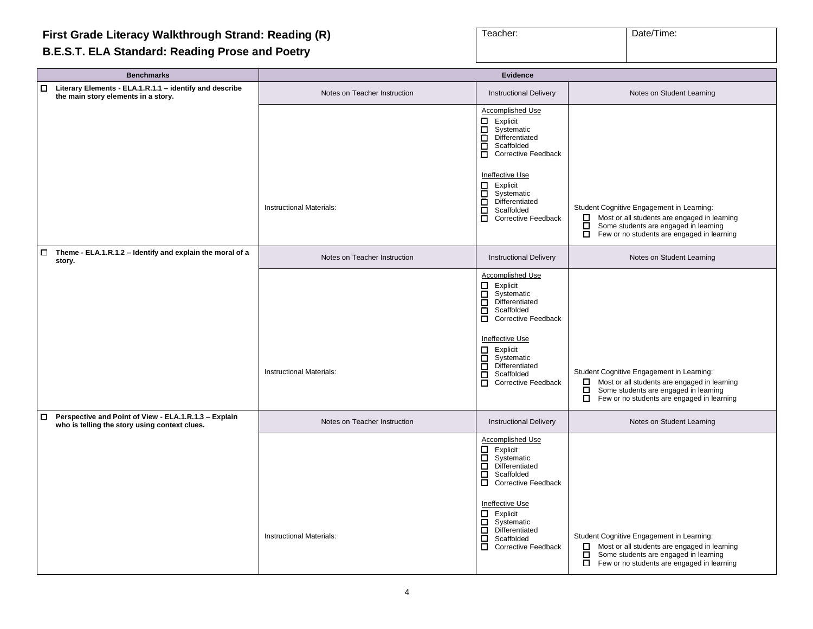# <span id="page-3-0"></span>**First Grade Literacy Walkthrough Strand: Reading (R)**

#### **B.E.S.T. ELA Standard: Reading Prose and Poetry**

| Teacher: | Date/Time: |
|----------|------------|
|          |            |

| <b>Benchmarks</b>                                                                                                | <b>Evidence</b>                 |                                                                                                                                                                                                                                                                                                                           |                                                                                                                                                                                                          |
|------------------------------------------------------------------------------------------------------------------|---------------------------------|---------------------------------------------------------------------------------------------------------------------------------------------------------------------------------------------------------------------------------------------------------------------------------------------------------------------------|----------------------------------------------------------------------------------------------------------------------------------------------------------------------------------------------------------|
| $\Box$ Literary Elements - ELA.1.R.1.1 - identify and describe<br>the main story elements in a story.            | Notes on Teacher Instruction    | <b>Instructional Delivery</b>                                                                                                                                                                                                                                                                                             | Notes on Student Learning                                                                                                                                                                                |
|                                                                                                                  |                                 | Accomplished Use<br>$\Box$ Explicit<br>Systematic<br>О<br>ō<br>Differentiated<br>$\Box$<br>Scaffolded<br>$\Box$<br><b>Corrective Feedback</b>                                                                                                                                                                             |                                                                                                                                                                                                          |
|                                                                                                                  | <b>Instructional Materials:</b> | Ineffective Use<br>$\Box$ Explicit<br>Systematic<br>ō<br>Differentiated<br>о<br>Scaffolded<br>$\Box$<br><b>Corrective Feedback</b>                                                                                                                                                                                        | Student Cognitive Engagement in Learning:<br>Most or all students are engaged in learning<br>□<br>ō<br>Some students are engaged in learning<br>$\Box$<br>Few or no students are engaged in learning     |
| $\Box$ Theme - ELA.1.R.1.2 - Identify and explain the moral of a<br>story.                                       | Notes on Teacher Instruction    | <b>Instructional Delivery</b>                                                                                                                                                                                                                                                                                             | Notes on Student Learning                                                                                                                                                                                |
|                                                                                                                  | <b>Instructional Materials:</b> | Accomplished Use<br>$\Box$ Explicit<br>Systematic<br>$\Box$<br>Differentiated<br>Scaffolded<br>$\Box$<br>Corrective Feedback<br>Ineffective Use<br>$\Box$ Explicit<br>□<br>Systematic<br>$\Box$<br>Differentiated<br>Scaffolded<br>$\Box$<br><b>Corrective Feedback</b><br>$\Box$                                         | Student Cognitive Engagement in Learning:<br>Most or all students are engaged in learning<br>Some students are engaged in learning<br>□<br>ō<br>Few or no students are engaged in learning               |
| $\Box$<br>Perspective and Point of View - ELA.1.R.1.3 - Explain<br>who is telling the story using context clues. | Notes on Teacher Instruction    | <b>Instructional Delivery</b>                                                                                                                                                                                                                                                                                             | Notes on Student Learning                                                                                                                                                                                |
|                                                                                                                  | <b>Instructional Materials:</b> | <b>Accomplished Use</b><br>$\Box$<br>Explicit<br>Systematic<br>$\Box$<br>$\Box$<br>Differentiated<br>ō<br>Scaffolded<br>$\Box$<br><b>Corrective Feedback</b><br>Ineffective Use<br>$\Box$ Explicit<br>$\overline{\Box}$ Systematic<br>Differentiated<br>0<br>$\Box$<br>Scaffolded<br>$\Box$<br><b>Corrective Feedback</b> | Student Cognitive Engagement in Learning:<br>$\Box$ Most or all students are engaged in learning<br>$\Box$<br>Some students are engaged in learning<br>$\Box$ Few or no students are engaged in learning |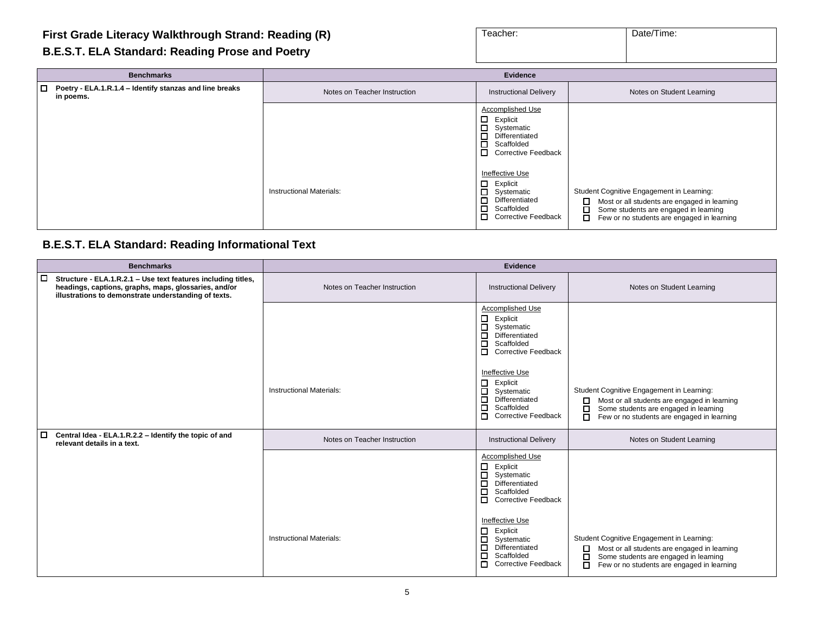| Teacher: | Date/Time: |
|----------|------------|
|          |            |

#### **B.E.S.T. ELA Standard: Reading Prose and Poetry**

| <b>Benchmarks</b>                                                           | Evidence                        |                                                                                                                                   |                                                                                                                                                                                                 |
|-----------------------------------------------------------------------------|---------------------------------|-----------------------------------------------------------------------------------------------------------------------------------|-------------------------------------------------------------------------------------------------------------------------------------------------------------------------------------------------|
| $\Box$ Poetry - ELA.1.R.1.4 - Identify stanzas and line breaks<br>in poems. | Notes on Teacher Instruction    | <b>Instructional Delivery</b>                                                                                                     | Notes on Student Learning                                                                                                                                                                       |
|                                                                             |                                 | Accomplished Use<br>0.<br>Explicit<br>□ Systematic<br>□<br>Differentiated<br>0<br>Scaffolded<br>П<br><b>Corrective Feedback</b>   |                                                                                                                                                                                                 |
|                                                                             | <b>Instructional Materials:</b> | Ineffective Use<br>◻<br>Explicit<br>О.<br>Systematic<br>Differentiated<br>□<br>0<br>Scaffolded<br>0<br><b>Corrective Feedback</b> | Student Cognitive Engagement in Learning:<br>□<br>Most or all students are engaged in learning<br>□<br>Some students are engaged in learning<br>□<br>Few or no students are engaged in learning |

#### **B.E.S.T. ELA Standard: Reading Informational Text**

| <b>Benchmarks</b>                                                                                                                                                                       |                                 | <b>Evidence</b>                                                                                                                                  |                                                                                                                                                                                                      |
|-----------------------------------------------------------------------------------------------------------------------------------------------------------------------------------------|---------------------------------|--------------------------------------------------------------------------------------------------------------------------------------------------|------------------------------------------------------------------------------------------------------------------------------------------------------------------------------------------------------|
| $\Box$<br>Structure - ELA.1.R.2.1 - Use text features including titles,<br>headings, captions, graphs, maps, glossaries, and/or<br>illustrations to demonstrate understanding of texts. | Notes on Teacher Instruction    | <b>Instructional Delivery</b>                                                                                                                    | Notes on Student Learning                                                                                                                                                                            |
|                                                                                                                                                                                         |                                 | Accomplished Use<br>$\Box$<br>Explicit<br>$\Box$<br>Systematic<br>□<br>Differentiated<br>□<br>Scaffolded<br>$\Box$<br><b>Corrective Feedback</b> |                                                                                                                                                                                                      |
|                                                                                                                                                                                         | <b>Instructional Materials:</b> | Ineffective Use<br>Explicit<br>0<br>□<br>Systematic<br>□<br>Differentiated<br>Scaffolded<br>□<br><b>Corrective Feedback</b><br>п                 | Student Cognitive Engagement in Learning:<br>$\Box$<br>Most or all students are engaged in learning<br>□<br>Some students are engaged in learning<br>□<br>Few or no students are engaged in learning |
| □<br>Central Idea - ELA.1.R.2.2 - Identify the topic of and<br>relevant details in a text.                                                                                              | Notes on Teacher Instruction    | <b>Instructional Delivery</b>                                                                                                                    | Notes on Student Learning                                                                                                                                                                            |
|                                                                                                                                                                                         |                                 | <b>Accomplished Use</b><br>$\Box$<br>Explicit<br>□<br>Systematic<br>口<br>Differentiated<br>口<br>Scaffolded<br>□<br><b>Corrective Feedback</b>    |                                                                                                                                                                                                      |
|                                                                                                                                                                                         | <b>Instructional Materials:</b> | Ineffective Use<br>0<br>Explicit<br>□<br>Systematic<br>□<br>Differentiated<br>Scaffolded<br>◻<br>п<br><b>Corrective Feedback</b>                 | Student Cognitive Engagement in Learning:<br>Most or all students are engaged in learning<br>$\Box$<br>Some students are engaged in learning<br>□<br>Few or no students are engaged in learning<br>□ |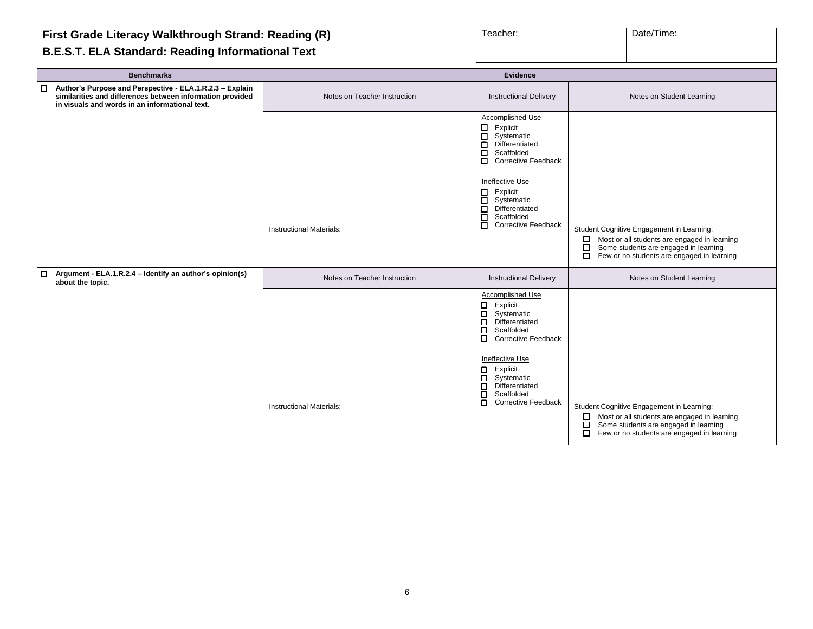| Teacher: | Date/Time: |
|----------|------------|
|          |            |

#### **B.E.S.T. ELA Standard: Reading Informational Text**

 $\blacksquare$ 

| <b>Benchmarks</b>                                                                                                                                                              | <b>Evidence</b>                 |                                                                                                                                                                                                                                                                                            |                                                                                                                                                                                                 |
|--------------------------------------------------------------------------------------------------------------------------------------------------------------------------------|---------------------------------|--------------------------------------------------------------------------------------------------------------------------------------------------------------------------------------------------------------------------------------------------------------------------------------------|-------------------------------------------------------------------------------------------------------------------------------------------------------------------------------------------------|
| Author's Purpose and Perspective - ELA.1.R.2.3 - Explain<br>I о<br>similarities and differences between information provided<br>in visuals and words in an informational text. | Notes on Teacher Instruction    | <b>Instructional Delivery</b>                                                                                                                                                                                                                                                              | Notes on Student Learning                                                                                                                                                                       |
|                                                                                                                                                                                | <b>Instructional Materials:</b> | Accomplished Use<br>Explicit<br>П,<br>$\Box$<br>Systematic<br>П<br>Differentiated<br>口<br>Scaffolded<br>$\Box$<br><b>Corrective Feedback</b><br>Ineffective Use<br>$\Box$<br>Explicit<br>$\Box$<br>Systematic<br>$\Box$<br>Differentiated<br>日<br>Scaffolded<br><b>Corrective Feedback</b> | Student Cognitive Engagement in Learning:<br>Most or all students are engaged in learning<br>□<br>□<br>Some students are engaged in learning                                                    |
|                                                                                                                                                                                |                                 |                                                                                                                                                                                                                                                                                            | О<br>Few or no students are engaged in learning                                                                                                                                                 |
| $\Box$<br>Argument - ELA.1.R.2.4 - Identify an author's opinion(s)<br>about the topic.                                                                                         | Notes on Teacher Instruction    | <b>Instructional Delivery</b>                                                                                                                                                                                                                                                              | Notes on Student Learning                                                                                                                                                                       |
|                                                                                                                                                                                | <b>Instructional Materials:</b> | Accomplished Use<br>□<br>Explicit<br>Systematic<br>□<br>Differentiated<br>□<br>ō<br>Scaffolded<br>П<br><b>Corrective Feedback</b><br>Ineffective Use<br>Explicit<br>О.<br>8<br>8<br>Systematic<br>Differentiated<br>Scaffolded<br>О<br><b>Corrective Feedback</b>                          | Student Cognitive Engagement in Learning:<br>Most or all students are engaged in learning<br>Some students are engaged in learning<br>$\Box$<br>□<br>Few or no students are engaged in learning |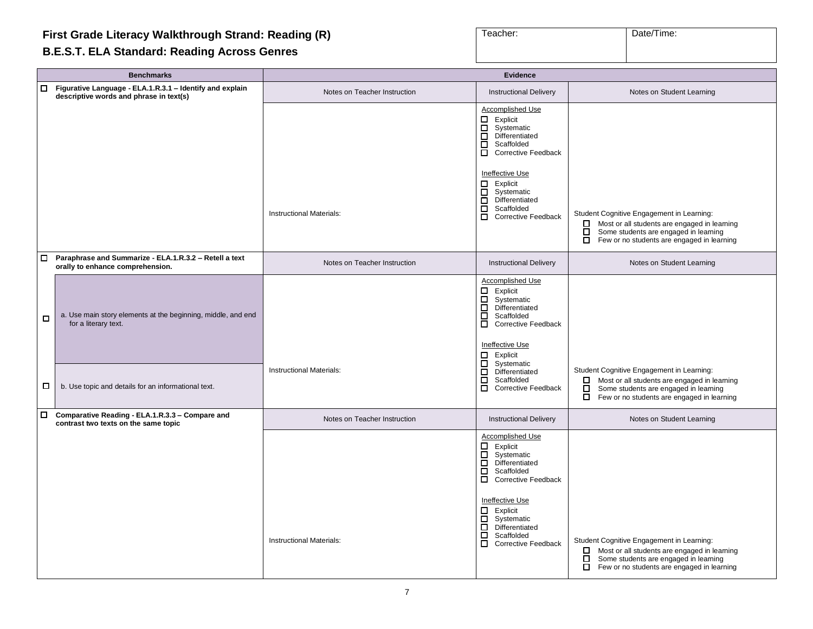## **First Grade Literacy Walkthrough Strand: Reading (R)**

#### **B.E.S.T. ELA Standard: Reading Across Genres**

| Teacher: | Date/Time: |
|----------|------------|

|        | <b>Benchmarks</b>                                                                                   | <b>Evidence</b>                 |                                                                                                                                                                                                                                                                      |                                                                                                                                                                                                           |  |
|--------|-----------------------------------------------------------------------------------------------------|---------------------------------|----------------------------------------------------------------------------------------------------------------------------------------------------------------------------------------------------------------------------------------------------------------------|-----------------------------------------------------------------------------------------------------------------------------------------------------------------------------------------------------------|--|
| □      | Figurative Language - ELA.1.R.3.1 - Identify and explain<br>descriptive words and phrase in text(s) | Notes on Teacher Instruction    | <b>Instructional Delivery</b>                                                                                                                                                                                                                                        | Notes on Student Learning                                                                                                                                                                                 |  |
|        |                                                                                                     |                                 | Accomplished Use<br>$\Box$ Explicit<br>目<br>Systematic<br>Differentiated<br>ō<br>Scaffolded<br>ō<br><b>Corrective Feedback</b>                                                                                                                                       |                                                                                                                                                                                                           |  |
|        |                                                                                                     | Instructional Materials:        | Ineffective Use<br>Explicit<br>88<br>8<br>Systematic<br>Differentiated<br>ō<br>Scaffolded<br>ō<br><b>Corrective Feedback</b>                                                                                                                                         | Student Cognitive Engagement in Learning:<br>Most or all students are engaged in learning<br>Some students are engaged in learning<br>0<br>$\overline{\Box}$ Few or no students are engaged in learning   |  |
| $\Box$ | Paraphrase and Summarize - ELA.1.R.3.2 - Retell a text<br>orally to enhance comprehension.          | Notes on Teacher Instruction    | <b>Instructional Delivery</b>                                                                                                                                                                                                                                        | Notes on Student Learning                                                                                                                                                                                 |  |
| □      | a. Use main story elements at the beginning, middle, and end<br>for a literary text.                |                                 | Accomplished Use<br>□<br>Explicit<br>目目<br>Systematic<br>Differentiated<br>Scaffolded<br><b>Corrective Feedback</b><br>Ineffective Use<br>Explicit                                                                                                                   |                                                                                                                                                                                                           |  |
| □      | b. Use topic and details for an informational text.                                                 | Instructional Materials:        | Ē<br>Systematic<br>Differentiated<br>$\Box$<br>Scaffolded<br>$\Box$<br><b>Corrective Feedback</b>                                                                                                                                                                    | Student Cognitive Engagement in Learning:<br>$\Box$<br>Most or all students are engaged in learning<br>Some students are engaged in learning<br>□<br>$\Box$<br>Few or no students are engaged in learning |  |
|        | □ Comparative Reading - ELA.1.R.3.3 – Compare and<br>contrast two texts on the same topic           | Notes on Teacher Instruction    | <b>Instructional Delivery</b>                                                                                                                                                                                                                                        | Notes on Student Learning                                                                                                                                                                                 |  |
|        |                                                                                                     | <b>Instructional Materials:</b> | Accomplished Use<br>□<br>Explicit<br>$\Xi$<br>Systematic<br>Differentiated<br>ō<br>Scaffolded<br>$\Box$<br><b>Corrective Feedback</b><br>Ineffective Use<br>Explicit<br>目<br>Systematic<br>Differentiated<br>$\Box$<br>Scaffolded<br>о<br><b>Corrective Feedback</b> | Student Cognitive Engagement in Learning:<br>Most or all students are engaged in learning<br>Some students are engaged in learning<br>$\Box$<br>$\Box$<br>Few or no students are engaged in learning      |  |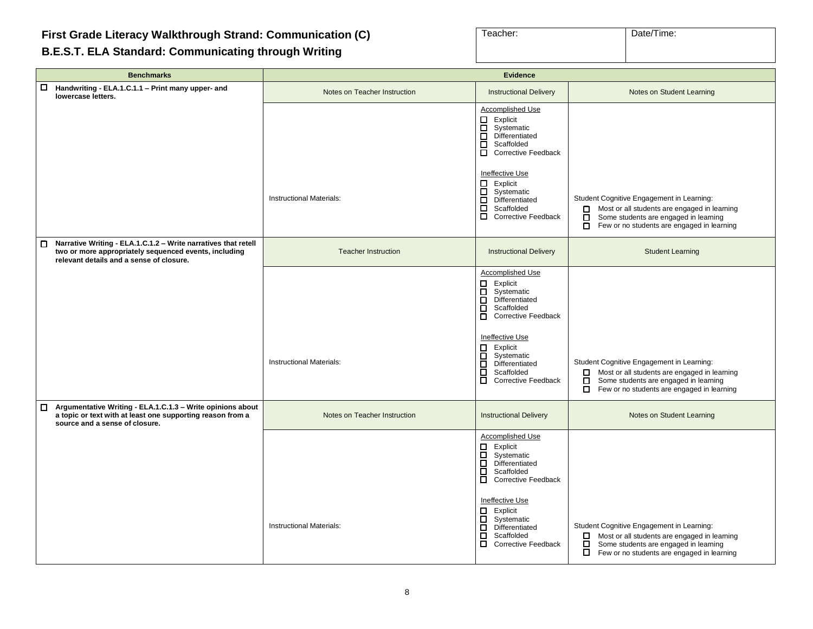| Teacher: | Date/Time: |
|----------|------------|
|          |            |

#### <span id="page-7-0"></span>**B.E.S.T. ELA Standard: Communicating through Writing**

г

| <b>Benchmarks</b>                                                                                                                                                        | Evidence                        |                                                                                                                                                                                                                                                           |                                                                                                                                                                                                 |  |
|--------------------------------------------------------------------------------------------------------------------------------------------------------------------------|---------------------------------|-----------------------------------------------------------------------------------------------------------------------------------------------------------------------------------------------------------------------------------------------------------|-------------------------------------------------------------------------------------------------------------------------------------------------------------------------------------------------|--|
| 0<br>Handwriting - ELA.1.C.1.1 - Print many upper- and<br>lowercase letters.                                                                                             | Notes on Teacher Instruction    | <b>Instructional Delivery</b>                                                                                                                                                                                                                             | Notes on Student Learning                                                                                                                                                                       |  |
|                                                                                                                                                                          |                                 | Accomplished Use<br>□ Explicit<br>□ Systema<br>□ Different<br>□ Scaffold<br>□ Correctiv<br>Systematic<br>Differentiated<br>Scaffolded<br><b>Corrective Feedback</b>                                                                                       |                                                                                                                                                                                                 |  |
|                                                                                                                                                                          | <b>Instructional Materials:</b> | Ineffective Use<br>$\begin{tabular}{ll} \quad \quad \text{Explicit} \\ \quad \text{I} & \quad \text{System} \\ \quad \text{D} & \quad \text{Differential} \end{tabular}$<br>Systematic<br>Differentiated<br>Ē<br>Scaffolded<br><b>Corrective Feedback</b> | Student Cognitive Engagement in Learning:<br>Most or all students are engaged in learning<br>□<br>Some students are engaged in learning<br>□<br>п<br>Few or no students are engaged in learning |  |
| Narrative Writing - ELA.1.C.1.2 - Write narratives that retell<br>□<br>two or more appropriately sequenced events, including<br>relevant details and a sense of closure. | <b>Teacher Instruction</b>      | <b>Instructional Delivery</b>                                                                                                                                                                                                                             | <b>Student Learning</b>                                                                                                                                                                         |  |
|                                                                                                                                                                          |                                 | Accomplished Use<br>Explicit<br>□<br>Ē<br>Systematic<br>Differentiated<br>о<br>Scaffolded<br>Corrective Feedback                                                                                                                                          |                                                                                                                                                                                                 |  |
|                                                                                                                                                                          | Instructional Materials:        | Ineffective Use<br>$\Box$ Explicit<br>П<br>Systematic<br>$\Box$<br>Differentiated<br>$\Box$<br>Scaffolded<br>$\Box$<br><b>Corrective Feedback</b>                                                                                                         | Student Cognitive Engagement in Learning:<br>Most or all students are engaged in learning<br>$\Box$<br>Some students are engaged in learning<br>□<br>Few or no students are engaged in learning |  |
| Argumentative Writing - ELA.1.C.1.3 - Write opinions about<br>a topic or text with at least one supporting reason from a<br>source and a sense of closure.               | Notes on Teacher Instruction    | <b>Instructional Delivery</b>                                                                                                                                                                                                                             | Notes on Student Learning                                                                                                                                                                       |  |
|                                                                                                                                                                          |                                 | <b>Accomplished Use</b><br>$\Box$ Explicit<br>$\overline{\Box}$ Systematic<br>$\Box$<br>Differentiated<br>о<br>Scaffolded<br>Corrective Feedback                                                                                                          |                                                                                                                                                                                                 |  |
|                                                                                                                                                                          | <b>Instructional Materials:</b> | Ineffective Use<br>$\Box$ Explicit<br>о<br>Systematic<br>$\Box$<br>Differentiated<br>□<br>Scaffolded<br>Corrective Feedback                                                                                                                               | Student Cognitive Engagement in Learning:<br>□<br>Most or all students are engaged in learning<br>□<br>Some students are engaged in learning<br>□<br>Few or no students are engaged in learning |  |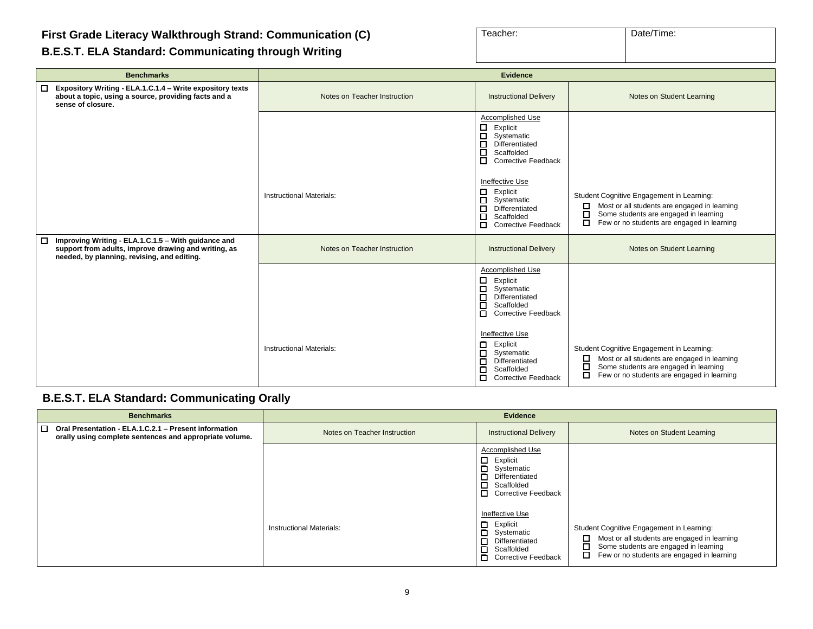**B.E.S.T. ELA Standard: Communicating through Writing**

| Teacher: | Date/Time: |
|----------|------------|
|          |            |
|          |            |

| <b>Benchmarks</b>                                                                                                                                               | <b>Evidence</b>                 |                                                                                                                                                                                                                                                                                                |                                                                                                                                                                                                 |
|-----------------------------------------------------------------------------------------------------------------------------------------------------------------|---------------------------------|------------------------------------------------------------------------------------------------------------------------------------------------------------------------------------------------------------------------------------------------------------------------------------------------|-------------------------------------------------------------------------------------------------------------------------------------------------------------------------------------------------|
| Expository Writing - ELA.1.C.1.4 - Write expository texts<br>□<br>about a topic, using a source, providing facts and a<br>sense of closure.                     | Notes on Teacher Instruction    | <b>Instructional Delivery</b>                                                                                                                                                                                                                                                                  | Notes on Student Learning                                                                                                                                                                       |
|                                                                                                                                                                 |                                 | Accomplished Use<br>□<br>Explicit<br>□<br>Systematic<br>◻<br>Differentiated<br>◻<br>Scaffolded<br>□<br><b>Corrective Feedback</b>                                                                                                                                                              |                                                                                                                                                                                                 |
|                                                                                                                                                                 | <b>Instructional Materials:</b> | Ineffective Use<br>□<br>Explicit<br>П<br>Systematic<br>□<br>Differentiated<br>□<br>Scaffolded<br>П.<br><b>Corrective Feedback</b>                                                                                                                                                              | Student Cognitive Engagement in Learning:<br>Most or all students are engaged in learning<br>◻<br>□<br>Some students are engaged in learning<br>□<br>Few or no students are engaged in learning |
| □<br>Improving Writing - ELA.1.C.1.5 - With guidance and<br>support from adults, improve drawing and writing, as<br>needed, by planning, revising, and editing. | Notes on Teacher Instruction    | <b>Instructional Delivery</b>                                                                                                                                                                                                                                                                  | Notes on Student Learning                                                                                                                                                                       |
|                                                                                                                                                                 | <b>Instructional Materials:</b> | Accomplished Use<br>$\Box$<br>Explicit<br>$\Box$<br>Systematic<br>$\Box$<br>Differentiated<br>$\Box$<br>Scaffolded<br>$\Box$<br><b>Corrective Feedback</b><br>Ineffective Use<br>Explicit<br>□<br>Systematic<br>□<br>Differentiated<br>□<br>Scaffolded<br>□<br>□<br><b>Corrective Feedback</b> | Student Cognitive Engagement in Learning:<br>□<br>Most or all students are engaged in learning<br>Some students are engaged in learning<br>□<br>П<br>Few or no students are engaged in learning |

### **B.E.S.T. ELA Standard: Communicating Orally**

| <b>Benchmarks</b>                                                                                                       | <b>Evidence</b>                 |                                                                                                                        |                                                                                                                                                                                                      |
|-------------------------------------------------------------------------------------------------------------------------|---------------------------------|------------------------------------------------------------------------------------------------------------------------|------------------------------------------------------------------------------------------------------------------------------------------------------------------------------------------------------|
| $\Box$ Oral Presentation - ELA.1.C.2.1 - Present information<br>orally using complete sentences and appropriate volume. | Notes on Teacher Instruction    | <b>Instructional Delivery</b>                                                                                          | Notes on Student Learning                                                                                                                                                                            |
|                                                                                                                         |                                 | Accomplished Use<br>$\Box$ Explicit<br>Systematic<br>$\Box$ Differentiated<br>$\Box$ Scaffolded<br>Corrective Feedback |                                                                                                                                                                                                      |
|                                                                                                                         | <b>Instructional Materials:</b> | Ineffective Use<br>$\Box$ Explicit<br>Systematic<br>Differentiated<br>Scaffolded<br>П.<br>Corrective Feedback          | Student Cognitive Engagement in Learning:<br>$\Box$<br>Most or all students are engaged in learning<br>Some students are engaged in learning<br>◻<br>0<br>Few or no students are engaged in learning |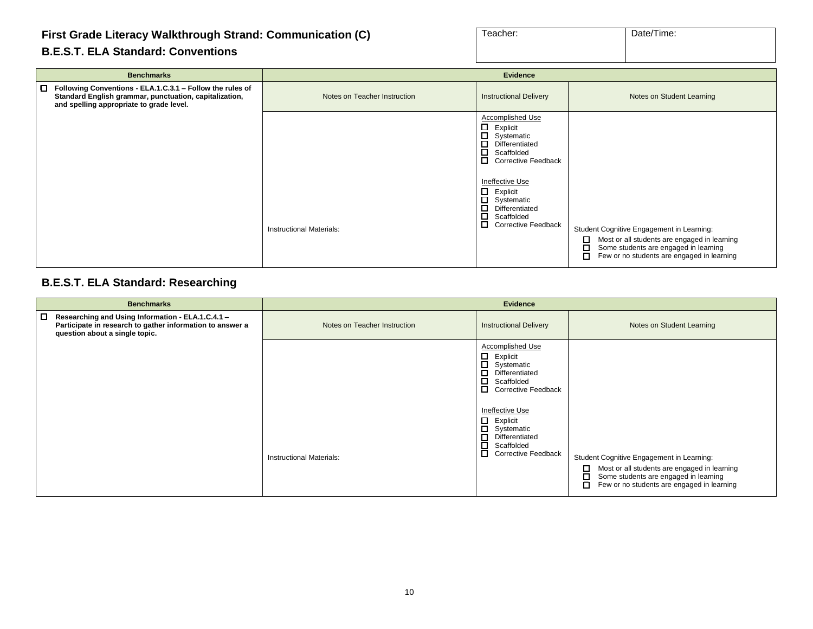#### **First Grade Literacy Walkthrough Strand: Communication (C)**

| Teacher: | Date/Time: |
|----------|------------|
|          |            |

#### **B.E.S.T. ELA Standard: Conventions**

| <b>Benchmarks</b>                                                                                                                                                      |                                 | <b>Evidence</b>                                                                                                                                                                                                                                                |                                                                                                                                                                                                 |
|------------------------------------------------------------------------------------------------------------------------------------------------------------------------|---------------------------------|----------------------------------------------------------------------------------------------------------------------------------------------------------------------------------------------------------------------------------------------------------------|-------------------------------------------------------------------------------------------------------------------------------------------------------------------------------------------------|
| l 0<br>Following Conventions - ELA.1.C.3.1 - Follow the rules of<br>Standard English grammar, punctuation, capitalization,<br>and spelling appropriate to grade level. | Notes on Teacher Instruction    | <b>Instructional Delivery</b>                                                                                                                                                                                                                                  | Notes on Student Learning                                                                                                                                                                       |
|                                                                                                                                                                        | <b>Instructional Materials:</b> | Accomplished Use<br>□<br>Explicit<br>□<br>Systematic<br>Differentiated<br>□<br>□<br>Scaffolded<br>□<br>Corrective Feedback<br>Ineffective Use<br>□<br>Explicit<br>□<br>Systematic<br>□<br>Differentiated<br>◻<br>Scaffolded<br>□<br><b>Corrective Feedback</b> | Student Cognitive Engagement in Learning:<br>Most or all students are engaged in learning<br>□<br>◻<br>Some students are engaged in learning<br>П<br>Few or no students are engaged in learning |

#### **B.E.S.T. ELA Standard: Researching**

| <b>Benchmarks</b>                                                                                                                                     |                                 | <b>Evidence</b>                                                                                                                                                                                                                                                          |                                                                                                                                                                                                 |
|-------------------------------------------------------------------------------------------------------------------------------------------------------|---------------------------------|--------------------------------------------------------------------------------------------------------------------------------------------------------------------------------------------------------------------------------------------------------------------------|-------------------------------------------------------------------------------------------------------------------------------------------------------------------------------------------------|
| □<br>Researching and Using Information - ELA.1.C.4.1 -<br>Participate in research to gather information to answer a<br>question about a single topic. | Notes on Teacher Instruction    | <b>Instructional Delivery</b>                                                                                                                                                                                                                                            | Notes on Student Learning                                                                                                                                                                       |
|                                                                                                                                                       | <b>Instructional Materials:</b> | <b>Accomplished Use</b><br>$\Box$<br>Explicit<br>П.<br>Systematic<br>□<br>Differentiated<br>◻<br>Scaffolded<br><b>Corrective Feedback</b><br>Ineffective Use<br>$\Box$<br>Explicit<br>Systematic<br>Differentiated<br>□<br>Scaffolded<br>□<br><b>Corrective Feedback</b> | Student Cognitive Engagement in Learning:<br>Most or all students are engaged in learning<br>□<br>◻<br>Some students are engaged in learning<br>Few or no students are engaged in learning<br>П |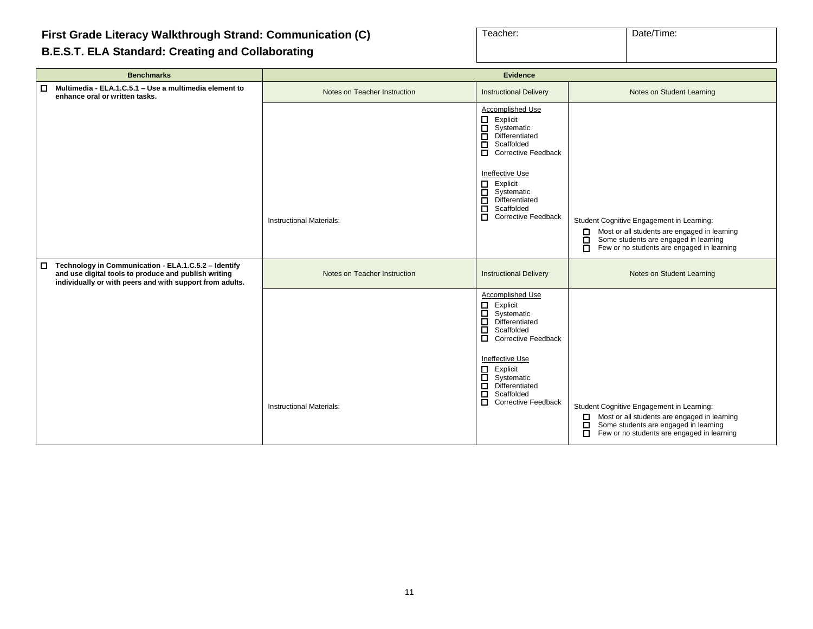**First Grade Literacy Walkthrough Strand: Communication (C)**

|  |  | B.E.S.T. ELA Standard: Creating and Collaborating |  |
|--|--|---------------------------------------------------|--|
|  |  |                                                   |  |

| Teacher: | Date/Time: |
|----------|------------|
|          |            |

| <b>Benchmarks</b>                                                                                                                                                                  | <b>Evidence</b>                 |                                                                                                                                                                                                                                                                                                               |                                                                                                                                                                                                 |
|------------------------------------------------------------------------------------------------------------------------------------------------------------------------------------|---------------------------------|---------------------------------------------------------------------------------------------------------------------------------------------------------------------------------------------------------------------------------------------------------------------------------------------------------------|-------------------------------------------------------------------------------------------------------------------------------------------------------------------------------------------------|
| $\Box$<br>Multimedia - ELA.1.C.5.1 - Use a multimedia element to<br>enhance oral or written tasks.                                                                                 | Notes on Teacher Instruction    | <b>Instructional Delivery</b>                                                                                                                                                                                                                                                                                 | Notes on Student Learning                                                                                                                                                                       |
|                                                                                                                                                                                    | <b>Instructional Materials:</b> | Accomplished Use<br>$\Box$<br>Explicit<br>$\Box$<br>Systematic<br>□<br>Differentiated<br>$\Box$<br>Scaffolded<br>п<br><b>Corrective Feedback</b><br>Ineffective Use<br>$\Box$<br>Explicit<br>$\Box$<br>Systematic<br>Differentiated<br>$\Box$<br>ō<br>Scaffolded<br>$\Box$<br><b>Corrective Feedback</b>      | Student Cognitive Engagement in Learning:<br>Most or all students are engaged in learning<br>□<br>Some students are engaged in learning<br>О<br>Few or no students are engaged in learning<br>о |
| Technology in Communication - ELA.1.C.5.2 - Identify<br>$\Box$<br>and use digital tools to produce and publish writing<br>individually or with peers and with support from adults. | Notes on Teacher Instruction    | <b>Instructional Delivery</b>                                                                                                                                                                                                                                                                                 | Notes on Student Learning                                                                                                                                                                       |
|                                                                                                                                                                                    | <b>Instructional Materials:</b> | Accomplished Use<br>$\Box$<br>Explicit<br>$\Box$<br>Systematic<br>$\Box$<br>Differentiated<br>$\Box$<br>Scaffolded<br>$\Box$<br><b>Corrective Feedback</b><br>Ineffective Use<br>□<br>Explicit<br>$\Box$<br>Systematic<br>Differentiated<br>$\Box$<br>$\Box$<br>Scaffolded<br>п<br><b>Corrective Feedback</b> | Student Cognitive Engagement in Learning:<br>Most or all students are engaged in learning<br>0<br>Some students are engaged in learning<br>□<br>□<br>Few or no students are engaged in learning |